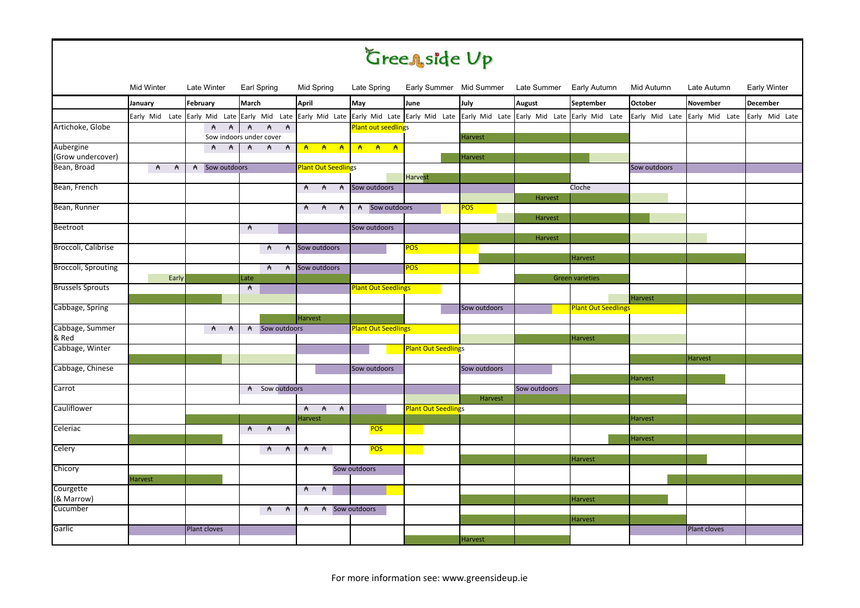## Green side Up

|                            | <b>Mid Winter</b>   | Late Winter       | Earl Spring                                                                                                                                           | Mid Spring                      | Late Spring                |                            |                | Early Summer Mid Summer Late Summer Early Autumn |                            | Mid Autumn     | Late Autumn                   | Early Winter    |  |
|----------------------------|---------------------|-------------------|-------------------------------------------------------------------------------------------------------------------------------------------------------|---------------------------------|----------------------------|----------------------------|----------------|--------------------------------------------------|----------------------------|----------------|-------------------------------|-----------------|--|
|                            | January             | February          | <b>March</b>                                                                                                                                          | April                           | May                        | June                       | July           | August                                           | September                  | <b>October</b> | <b>November</b>               | <b>December</b> |  |
|                            |                     |                   | Early Mid Late Early Mid Late Early Mid Late Early Mid Late Early Mid Late Early Mid Late Early Mid Late Early Mid Late Early Mid Late Early Mid Late |                                 |                            |                            |                |                                                  |                            |                | Early Mid Late Early Mid Late | Early Mid Late  |  |
| Artichoke, Globe           |                     | #<br>$\mathsf{A}$ | $\overline{A}$<br>$\overline{A}$<br>$\mathbf{A}$<br>Sow indoors under cover                                                                           |                                 | <b>Plant out seedlings</b> |                            | Harvest        |                                                  |                            |                |                               |                 |  |
| Aubergine                  |                     | A A               | A A<br>$\overrightarrow{A}$                                                                                                                           |                                 | <b>A A A A A A</b>         |                            |                |                                                  |                            |                |                               |                 |  |
| (Grow undercover)          |                     |                   |                                                                                                                                                       |                                 |                            |                            | Harvest        |                                                  |                            |                |                               |                 |  |
| Bean, Broad                | A<br>$\overline{A}$ | A Sow outdoors    |                                                                                                                                                       | <b>Plant Out Seedlings</b>      |                            |                            |                |                                                  |                            | Sow outdoors   |                               |                 |  |
|                            |                     |                   |                                                                                                                                                       |                                 |                            | Harvest                    |                |                                                  |                            |                |                               |                 |  |
| Bean, French               |                     |                   |                                                                                                                                                       | <b>A</b><br>$\overline{A}$<br>A | Sow outdoors               |                            |                | Harvest                                          | Cloche                     |                |                               |                 |  |
| Bean, Runner               |                     |                   |                                                                                                                                                       | <b>A A A</b>                    | A Sow outdoors             |                            | <b>POS</b>     |                                                  |                            |                |                               |                 |  |
|                            |                     |                   |                                                                                                                                                       |                                 |                            |                            |                | Harvest                                          |                            |                |                               |                 |  |
| Beetroot                   |                     |                   | $\overline{A}$                                                                                                                                        |                                 | Sow outdoors               |                            |                |                                                  |                            |                |                               |                 |  |
|                            |                     |                   |                                                                                                                                                       |                                 |                            |                            |                | Harvest                                          |                            |                |                               |                 |  |
| Broccoli, Calibrise        |                     |                   | $\mathsf{A}$<br>A                                                                                                                                     | Sow outdoors                    |                            | <b>POS</b>                 |                |                                                  |                            |                |                               |                 |  |
|                            |                     |                   |                                                                                                                                                       |                                 |                            |                            |                |                                                  | Harvest                    |                |                               |                 |  |
| <b>Broccoli, Sprouting</b> |                     |                   | <b>A</b> A                                                                                                                                            | Sow outdoors                    |                            | <b>POS</b>                 |                |                                                  |                            |                |                               |                 |  |
| <b>Brussels Sprouts</b>    | Early               |                   | Late<br>$\mathsf{A}$                                                                                                                                  |                                 | <b>Plant Out Seedlings</b> |                            |                |                                                  | <b>Green varieties</b>     |                |                               |                 |  |
|                            |                     |                   |                                                                                                                                                       |                                 |                            |                            |                |                                                  |                            | <b>Harvest</b> |                               |                 |  |
| Cabbage, Spring            |                     |                   |                                                                                                                                                       |                                 |                            |                            | Sow outdoors   |                                                  | <b>Plant Out Seedlings</b> |                |                               |                 |  |
|                            |                     |                   |                                                                                                                                                       | Harvest                         |                            |                            |                |                                                  |                            |                |                               |                 |  |
| Cabbage, Summer            |                     | <b>A</b> A        | A Sow outdoors                                                                                                                                        |                                 | <b>Plant Out Seedlings</b> |                            |                |                                                  |                            |                |                               |                 |  |
| & Red                      |                     |                   |                                                                                                                                                       |                                 |                            |                            |                |                                                  | Harvest                    |                |                               |                 |  |
| Cabbage, Winter            |                     |                   |                                                                                                                                                       |                                 |                            | <b>Plant Out Seedlings</b> |                |                                                  |                            |                |                               |                 |  |
| Cabbage, Chinese           |                     |                   |                                                                                                                                                       |                                 |                            |                            |                |                                                  |                            |                | Harvest                       |                 |  |
|                            |                     |                   |                                                                                                                                                       |                                 | Sow outdoors               |                            | Sow outdoors   |                                                  |                            | <b>Harvest</b> |                               |                 |  |
| Carrot                     |                     |                   | A Sow outdoors                                                                                                                                        |                                 |                            |                            |                | Sow outdoors                                     |                            |                |                               |                 |  |
|                            |                     |                   |                                                                                                                                                       |                                 |                            |                            | Harvest        |                                                  |                            |                |                               |                 |  |
| Cauliflower                |                     |                   |                                                                                                                                                       | A A<br>$\overline{A}$           |                            | <b>Plant Out Seedlings</b> |                |                                                  |                            |                |                               |                 |  |
|                            |                     |                   |                                                                                                                                                       | Harvest                         |                            |                            |                |                                                  |                            | Harvest        |                               |                 |  |
| Celeriac                   |                     |                   | <b>A</b> A A                                                                                                                                          |                                 | <b>POS</b>                 |                            |                |                                                  |                            |                |                               |                 |  |
|                            |                     |                   |                                                                                                                                                       |                                 |                            |                            |                |                                                  |                            | <b>Harvest</b> |                               |                 |  |
| Celery                     |                     |                   | <b>A</b> A                                                                                                                                            | <b>A</b> A                      | <b>POS</b>                 |                            |                |                                                  |                            |                |                               |                 |  |
| Chicory                    |                     |                   |                                                                                                                                                       |                                 | Sow outdoors               |                            |                |                                                  | Harvest                    |                |                               |                 |  |
|                            | <b>Harvest</b>      |                   |                                                                                                                                                       |                                 |                            |                            |                |                                                  |                            |                |                               |                 |  |
| Courgette                  |                     |                   |                                                                                                                                                       | A A                             |                            |                            |                |                                                  |                            |                |                               |                 |  |
| (& Marrow)                 |                     |                   |                                                                                                                                                       |                                 |                            |                            |                |                                                  | Harvest                    |                |                               |                 |  |
| Cucumber                   |                     |                   | $\overline{A}$<br>$\overline{A}$                                                                                                                      | $\mathsf{A}$                    | A Sow outdoors             |                            |                |                                                  |                            |                |                               |                 |  |
|                            |                     |                   |                                                                                                                                                       |                                 |                            |                            |                |                                                  | Harvest                    |                |                               |                 |  |
| Garlic                     |                     | Plant cloves      |                                                                                                                                                       |                                 |                            |                            |                |                                                  |                            |                | Plant cloves                  |                 |  |
|                            |                     |                   |                                                                                                                                                       |                                 |                            |                            | <b>Harvest</b> |                                                  |                            |                |                               |                 |  |